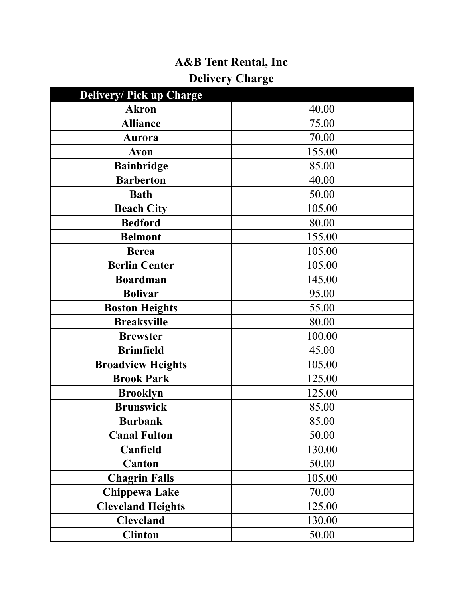## **A&B Tent Rental, Inc Delivery Charge**

| <b>Delivery/ Pick up Charge</b> |        |
|---------------------------------|--------|
| <b>Akron</b>                    | 40.00  |
| <b>Alliance</b>                 | 75.00  |
| Aurora                          | 70.00  |
| Avon                            | 155.00 |
| <b>Bainbridge</b>               | 85.00  |
| <b>Barberton</b>                | 40.00  |
| <b>Bath</b>                     | 50.00  |
| <b>Beach City</b>               | 105.00 |
| <b>Bedford</b>                  | 80.00  |
| <b>Belmont</b>                  | 155.00 |
| <b>Berea</b>                    | 105.00 |
| <b>Berlin Center</b>            | 105.00 |
| <b>Boardman</b>                 | 145.00 |
| <b>Bolivar</b>                  | 95.00  |
| <b>Boston Heights</b>           | 55.00  |
| <b>Breaksville</b>              | 80.00  |
| <b>Brewster</b>                 | 100.00 |
| <b>Brimfield</b>                | 45.00  |
| <b>Broadview Heights</b>        | 105.00 |
| <b>Brook Park</b>               | 125.00 |
| <b>Brooklyn</b>                 | 125.00 |
| <b>Brunswick</b>                | 85.00  |
| <b>Burbank</b>                  | 85.00  |
| <b>Canal Fulton</b>             | 50.00  |
| Canfield                        | 130.00 |
| Canton                          | 50.00  |
| <b>Chagrin Falls</b>            | 105.00 |
| <b>Chippewa Lake</b>            | 70.00  |
| <b>Cleveland Heights</b>        | 125.00 |
| <b>Cleveland</b>                | 130.00 |
| <b>Clinton</b>                  | 50.00  |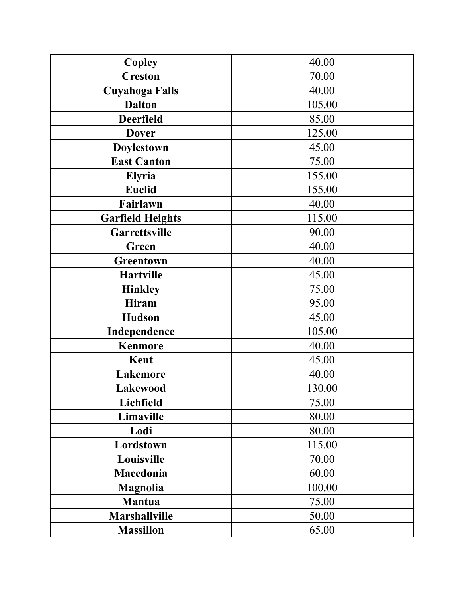| <b>Copley</b>           | 40.00  |
|-------------------------|--------|
| <b>Creston</b>          | 70.00  |
| <b>Cuyahoga Falls</b>   | 40.00  |
| <b>Dalton</b>           | 105.00 |
| <b>Deerfield</b>        | 85.00  |
| <b>Dover</b>            | 125.00 |
| Doylestown              | 45.00  |
| <b>East Canton</b>      | 75.00  |
| Elyria                  | 155.00 |
| <b>Euclid</b>           | 155.00 |
| Fairlawn                | 40.00  |
| <b>Garfield Heights</b> | 115.00 |
| Garrettsville           | 90.00  |
| Green                   | 40.00  |
| Greentown               | 40.00  |
| <b>Hartville</b>        | 45.00  |
| <b>Hinkley</b>          | 75.00  |
| Hiram                   | 95.00  |
| <b>Hudson</b>           | 45.00  |
| Independence            | 105.00 |
| <b>Kenmore</b>          | 40.00  |
| Kent                    | 45.00  |
| <b>Lakemore</b>         | 40.00  |
| <b>Lakewood</b>         | 130.00 |
| Lichfield               | 75.00  |
| Limaville               | 80.00  |
| Lodi                    | 80.00  |
| Lordstown               | 115.00 |
| Louisville              | 70.00  |
| Macedonia               | 60.00  |
| <b>Magnolia</b>         | 100.00 |
| Mantua                  | 75.00  |
| <b>Marshallville</b>    | 50.00  |
| <b>Massillon</b>        | 65.00  |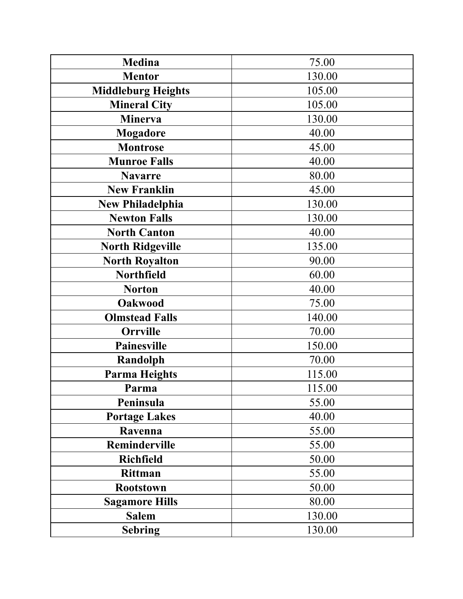| <b>Medina</b>             | 75.00  |
|---------------------------|--------|
| <b>Mentor</b>             | 130.00 |
| <b>Middleburg Heights</b> | 105.00 |
| <b>Mineral City</b>       | 105.00 |
| <b>Minerva</b>            | 130.00 |
| Mogadore                  | 40.00  |
| <b>Montrose</b>           | 45.00  |
| <b>Munroe Falls</b>       | 40.00  |
| <b>Navarre</b>            | 80.00  |
| <b>New Franklin</b>       | 45.00  |
| <b>New Philadelphia</b>   | 130.00 |
| <b>Newton Falls</b>       | 130.00 |
| <b>North Canton</b>       | 40.00  |
| <b>North Ridgeville</b>   | 135.00 |
| <b>North Royalton</b>     | 90.00  |
| Northfield                | 60.00  |
| <b>Norton</b>             | 40.00  |
| <b>Oakwood</b>            | 75.00  |
| <b>Olmstead Falls</b>     | 140.00 |
| <b>Orrville</b>           | 70.00  |
| <b>Painesville</b>        | 150.00 |
| Randolph                  | 70.00  |
| <b>Parma Heights</b>      | 115.00 |
| Parma                     | 115.00 |
| Peninsula                 | 55.00  |
| <b>Portage Lakes</b>      | 40.00  |
| Ravenna                   | 55.00  |
| Reminderville             | 55.00  |
| <b>Richfield</b>          | 50.00  |
| Rittman                   | 55.00  |
| <b>Rootstown</b>          | 50.00  |
| <b>Sagamore Hills</b>     | 80.00  |
| <b>Salem</b>              | 130.00 |
| <b>Sebring</b>            | 130.00 |